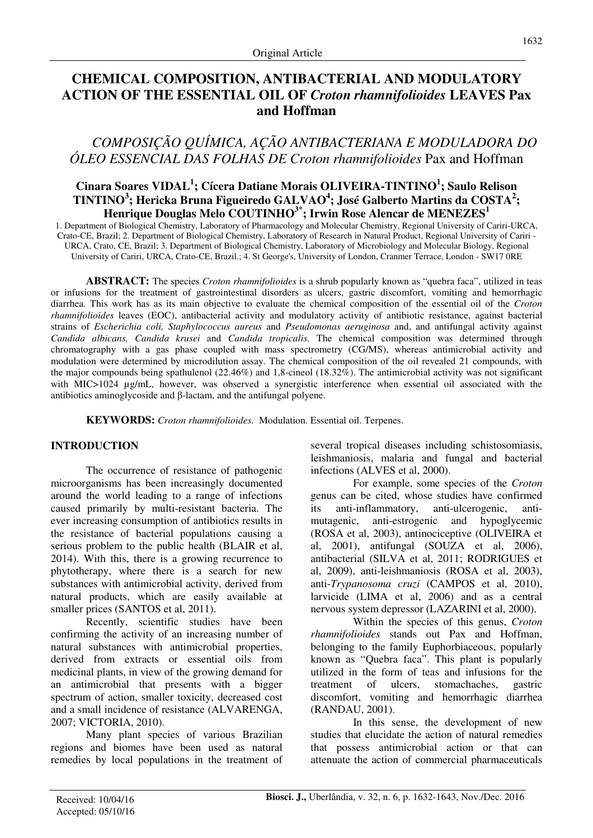# **CHEMICAL COMPOSITION, ANTIBACTERIAL AND MODULATORY ACTION OF THE ESSENTIAL OIL OF** *Croton rhamnifolioides* **LEAVES Pax and Hoffman**

# *COMPOSIÇÃO QUÍMICA, AÇÃO ANTIBACTERIANA E MODULADORA DO ÓLEO ESSENCIAL DAS FOLHAS DE Croton rhamnifolioides* Pax and Hoffman

# **Cinara Soares VIDAL<sup>1</sup> ; Cícera Datiane Morais OLIVEIRA-TINTINO<sup>1</sup> ; Saulo Relison TINTINO<sup>3</sup> ; Hericka Bruna Figueiredo GALVAO<sup>4</sup> ; José Galberto Martins da COSTA<sup>2</sup> ; Henrique Douglas Melo COUTINHO3\*; Irwin Rose Alencar de MENEZES<sup>1</sup>**

1. Department of Biological Chemistry, Laboratory of Pharmacology and Molecular Chemistry, Regional University of Cariri-URCA, Crato-CE, Brazil; 2. Department of Biological Chemistry, Laboratory of Research in Natural Product, Regional University of Cariri - URCA, Crato, CE, Brazil; 3. Department of Biological Chemistry, Laboratory of Microbiology and Molecular Biology, Regional University of Cariri, URCA, Crato-CE, Brazil.; 4. St George's, University of London, Cranmer Terrace, London - SW17 0RE

**ABSTRACT:** The species *Croton rhamnifolioides* is a shrub popularly known as "quebra faca", utilized in teas or infusions for the treatment of gastrointestinal disorders as ulcers, gastric discomfort, vomiting and hemorrhagic diarrhea. This work has as its main objective to evaluate the chemical composition of the essential oil of the *Croton rhamnifolioides* leaves (EOC), antibacterial activity and modulatory activity of antibiotic resistance, against bacterial strains of *Escherichia coli, Staphylococcus aureus* and *Pseudomonas aeruginosa* and, and antifungal activity against *Candida albicans, Candida krusei* and *Candida tropicalis.* The chemical composition was determined through chromatography with a gas phase coupled with mass spectrometry (CG/MS), whereas antimicrobial activity and modulation were determined by microdilution assay. The chemical composition of the oil revealed 21 compounds, with the major compounds being spathulenol (22.46%) and 1,8-cineol (18.32%). The antimicrobial activity was not significant with MIC>1024 µg/mL, however, was observed a synergistic interference when essential oil associated with the antibiotics aminoglycoside and β-lactam, and the antifungal polyene.

**KEYWORDS:** *Croton rhamnifolioides.* Modulation. Essential oil. Terpenes.

# **INTRODUCTION**

The occurrence of resistance of pathogenic microorganisms has been increasingly documented around the world leading to a range of infections caused primarily by multi-resistant bacteria. The ever increasing consumption of antibiotics results in the resistance of bacterial populations causing a serious problem to the public health (BLAIR et al, 2014). With this, there is a growing recurrence to phytotherapy, where there is a search for new substances with antimicrobial activity, derived from natural products, which are easily available at smaller prices (SANTOS et al, 2011).

Recently, scientific studies have been confirming the activity of an increasing number of natural substances with antimicrobial properties, derived from extracts or essential oils from medicinal plants, in view of the growing demand for an antimicrobial that presents with a bigger spectrum of action, smaller toxicity, decreased cost and a small incidence of resistance (ALVARENGA, 2007; VICTORIA, 2010).

Many plant species of various Brazilian regions and biomes have been used as natural remedies by local populations in the treatment of several tropical diseases including schistosomiasis, leishmaniosis, malaria and fungal and bacterial infections (ALVES et al, 2000).

For example, some species of the *Croton*  genus can be cited, whose studies have confirmed its anti-inflammatory, anti-ulcerogenic, antimutagenic, anti-estrogenic and hypoglycemic (ROSA et al, 2003), antinociceptive (OLIVEIRA et al, 2001), antifungal (SOUZA et al, 2006), antibacterial (SILVA et al, 2011; RODRIGUES et al, 2009), anti-leishmaniosis (ROSA et al, 2003), anti-*Trypanosoma cruzi* (CAMPOS et al, 2010), larvicide (LIMA et al, *2*006) and as a central nervous system depressor (LAZARINI et al, 2000).

Within the species of this genus, *Croton rhamnifolioides* stands out Pax and Hoffman, belonging to the family Euphorbiaceous, popularly known as "Quebra faca". This plant is popularly utilized in the form of teas and infusions for the treatment of ulcers, stomachaches, gastric discomfort, vomiting and hemorrhagic diarrhea (RANDAU, 2001).

In this sense, the development of new studies that elucidate the action of natural remedies that possess antimicrobial action or that can attenuate the action of commercial pharmaceuticals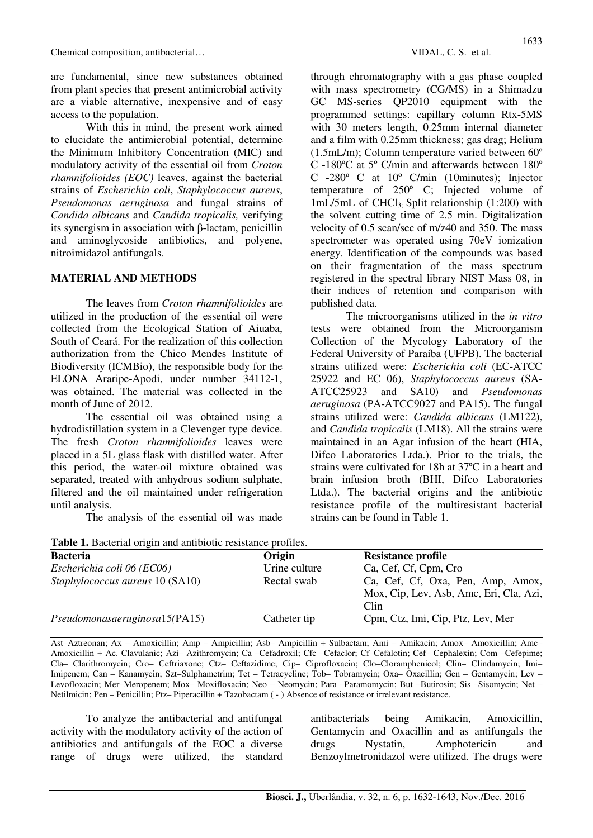are fundamental, since new substances obtained from plant species that present antimicrobial activity are a viable alternative, inexpensive and of easy access to the population.

With this in mind, the present work aimed to elucidate the antimicrobial potential, determine the Minimum Inhibitory Concentration (MIC) and modulatory activity of the essential oil from *Croton rhamnifolioides (EOC)* leaves, against the bacterial strains of *Escherichia coli*, *Staphylococcus aureus*, *Pseudomonas aeruginosa* and fungal strains of *Candida albicans* and *Candida tropicalis,* verifying its synergism in association with β-lactam, penicillin and aminoglycoside antibiotics, and polyene, nitroimidazol antifungals.

## **MATERIAL AND METHODS**

The leaves from *Croton rhamnifolioides* are utilized in the production of the essential oil were collected from the Ecological Station of Aiuaba, South of Ceará. For the realization of this collection authorization from the Chico Mendes Institute of Biodiversity (ICMBio), the responsible body for the ELONA Araripe-Apodi, under number 34112-1, was obtained. The material was collected in the month of June of 2012.

The essential oil was obtained using a hydrodistillation system in a Clevenger type device. The fresh *Croton rhamnifolioides* leaves were placed in a 5L glass flask with distilled water. After this period, the water-oil mixture obtained was separated, treated with anhydrous sodium sulphate, filtered and the oil maintained under refrigeration until analysis.

The analysis of the essential oil was made

**Table 1.** Bacterial origin and antibiotic resistance profiles.

through chromatography with a gas phase coupled with mass spectrometry (CG/MS) in a Shimadzu GC MS-series QP2010 equipment with the programmed settings: capillary column Rtx-5MS with 30 meters length, 0.25mm internal diameter and a film with 0.25mm thickness; gas drag; Helium (1.5mL/m); Column temperature varied between 60º C -180ºC at 5º C/min and afterwards between 180º C -280º C at 10º C/min (10minutes); Injector temperature of 250º C; Injected volume of 1mL/5mL of CHCl3; Split relationship (1:200) with the solvent cutting time of 2.5 min. Digitalization velocity of 0.5 scan/sec of m/z40 and 350. The mass spectrometer was operated using 70eV ionization energy. Identification of the compounds was based on their fragmentation of the mass spectrum registered in the spectral library NIST Mass 08, in their indices of retention and comparison with published data.

The microorganisms utilized in the *in vitro* tests were obtained from the Microorganism Collection of the Mycology Laboratory of the Federal University of Paraíba (UFPB). The bacterial strains utilized were: *Escherichia coli* (EC-ATCC 25922 and EC 06), *Staphylococcus aureus* (SA-ATCC25923 and SA10) and *Pseudomonas aeruginosa* (PA-ATCC9027 and PA15). The fungal strains utilized were: *Candida albicans* (LM122), and *Candida tropicalis* (LM18). All the strains were maintained in an Agar infusion of the heart (HIA, Difco Laboratories Ltda.). Prior to the trials, the strains were cultivated for 18h at 37ºC in a heart and brain infusion broth (BHI, Difco Laboratories Ltda.). The bacterial origins and the antibiotic resistance profile of the multiresistant bacterial strains can be found in Table 1.

| <b>Table 1.</b> Bacterial origin and antibiotic resistance profiles. |               |                                                                                      |  |  |
|----------------------------------------------------------------------|---------------|--------------------------------------------------------------------------------------|--|--|
| <b>Bacteria</b>                                                      | Origin        | <b>Resistance profile</b>                                                            |  |  |
| Escherichia coli 06 (EC06)                                           | Urine culture | Ca, Cef, Cf, Cpm, Cro                                                                |  |  |
| Staphylococcus aureus 10 (SA10)                                      | Rectal swab   | Ca, Cef, Cf, Oxa, Pen, Amp, Amox,<br>Mox, Cip, Lev, Asb, Amc, Eri, Cla, Azi,<br>Clin |  |  |
| Pseudomonasaeruginosa15(PA15)                                        | Catheter tip  | Cpm, Ctz, Imi, Cip, Ptz, Lev, Mer                                                    |  |  |

Ast–Aztreonan; Ax – Amoxicillin; Amp – Ampicillin; Asb– Ampicillin + Sulbactam; Ami – Amikacin; Amox– Amoxicillin; Amc– Amoxicillin + Ac. Clavulanic; Azi– Azithromycin; Ca –Cefadroxil; Cfc –Cefaclor; Cf–Cefalotin; Cef– Cephalexin; Com –Cefepime; Cla– Clarithromycin; Cro– Ceftriaxone; Ctz– Ceftazidime; Cip– Ciprofloxacin; Clo–Cloramphenicol; Clin– Clindamycin; Imi– Imipenem; Can – Kanamycin; Szt–Sulphametrim; Tet – Tetracycline; Tob– Tobramycin; Oxa– Oxacillin; Gen – Gentamycin; Lev – Levofloxacin; Mer–Meropenem; Mox– Moxifloxacin; Neo – Neomycin; Para –Paramomycin; But –Butirosin; Sis –Sisomycin; Net – Netilmicin; Pen – Penicillin; Ptz– Piperacillin + Tazobactam (-) Absence of resistance or irrelevant resistance.

To analyze the antibacterial and antifungal activity with the modulatory activity of the action of antibiotics and antifungals of the EOC a diverse range of drugs were utilized, the standard antibacterials being Amikacin, Amoxicillin, Gentamycin and Oxacillin and as antifungals the drugs Nystatin, Amphotericin and Benzoylmetronidazol were utilized. The drugs were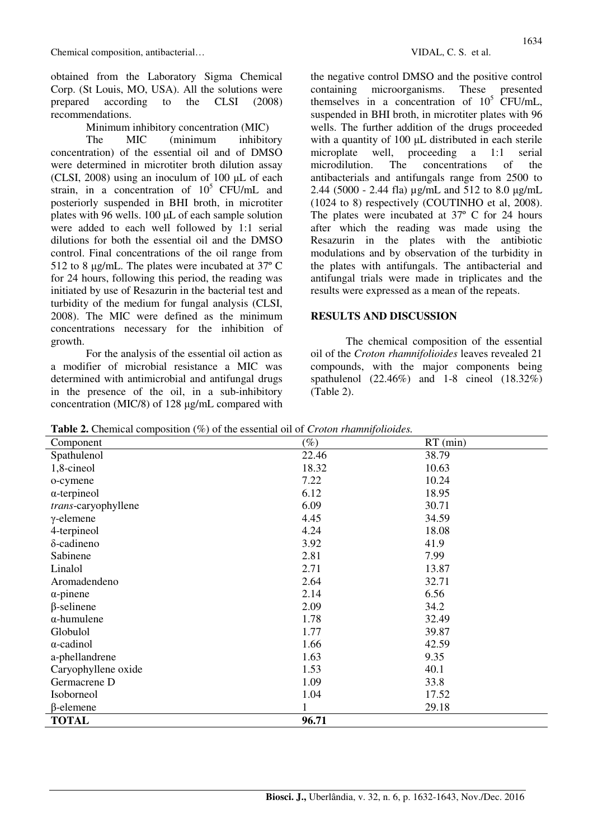obtained from the Laboratory Sigma Chemical Corp. (St Louis, MO, USA). All the solutions were prepared according to the CLSI (2008) recommendations.

Minimum inhibitory concentration (MIC)

The MIC (minimum inhibitory concentration) of the essential oil and of DMSO were determined in microtiter broth dilution assay (CLSI, 2008) using an inoculum of  $100 \mu L$  of each strain, in a concentration of  $10^5$  CFU/mL and posteriorly suspended in BHI broth, in microtiter plates with 96 wells. 100 µL of each sample solution were added to each well followed by 1:1 serial dilutions for both the essential oil and the DMSO control. Final concentrations of the oil range from 512 to 8 µg/mL. The plates were incubated at 37º C for 24 hours, following this period, the reading was initiated by use of Resazurin in the bacterial test and turbidity of the medium for fungal analysis (CLSI, 2008). The MIC were defined as the minimum concentrations necessary for the inhibition of growth.

For the analysis of the essential oil action as a modifier of microbial resistance a MIC was determined with antimicrobial and antifungal drugs in the presence of the oil, in a sub-inhibitory concentration (MIC/8) of 128 µg/mL compared with the negative control DMSO and the positive control containing microorganisms. These presented themselves in a concentration of  $10^5$  CFU/mL, suspended in BHI broth, in microtiter plates with 96 wells. The further addition of the drugs proceeded with a quantity of 100  $\mu$ L distributed in each sterile microplate well, proceeding a 1:1 serial microdilution. The concentrations of the antibacterials and antifungals range from 2500 to 2.44 (5000 - 2.44 fla) µg/mL and 512 to 8.0 µg/mL (1024 to 8) respectively (COUTINHO et al, 2008). The plates were incubated at 37º C for 24 hours after which the reading was made using the Resazurin in the plates with the antibiotic modulations and by observation of the turbidity in the plates with antifungals. The antibacterial and antifungal trials were made in triplicates and the results were expressed as a mean of the repeats.

## **RESULTS AND DISCUSSION**

The chemical composition of the essential oil of the *Croton rhamnifolioides* leaves revealed 21 compounds, with the major components being spathulenol (22.46%) and 1-8 cineol (18.32%) (Table 2).

**Table 2.** Chemical composition (%) of the essential oil of *Croton rhamnifolioides.*

| <b>Example 2</b> Chemical composition ( <i>b)</i> or the coolemna on or <i>Croton manufolioucs</i> .<br>Component | $(\%)$ | $RT$ (min) |  |
|-------------------------------------------------------------------------------------------------------------------|--------|------------|--|
| Spathulenol                                                                                                       | 22.46  | 38.79      |  |
| 1,8-cineol                                                                                                        | 18.32  | 10.63      |  |
| o-cymene                                                                                                          | 7.22   | 10.24      |  |
| $\alpha$ -terpineol                                                                                               | 6.12   | 18.95      |  |
| trans-caryophyllene                                                                                               | 6.09   | 30.71      |  |
| $\gamma$ -elemene                                                                                                 | 4.45   | 34.59      |  |
| 4-terpineol                                                                                                       | 4.24   | 18.08      |  |
| $\delta$ -cadineno                                                                                                | 3.92   | 41.9       |  |
| Sabinene                                                                                                          | 2.81   | 7.99       |  |
| Linalol                                                                                                           | 2.71   | 13.87      |  |
| Aromadendeno                                                                                                      | 2.64   | 32.71      |  |
| $\alpha$ -pinene                                                                                                  | 2.14   | 6.56       |  |
| $\beta$ -selinene                                                                                                 | 2.09   | 34.2       |  |
| $\alpha$ -humulene                                                                                                | 1.78   | 32.49      |  |
| Globulol                                                                                                          | 1.77   | 39.87      |  |
| $\alpha$ -cadinol                                                                                                 | 1.66   | 42.59      |  |
| a-phellandrene                                                                                                    | 1.63   | 9.35       |  |
| Caryophyllene oxide                                                                                               | 1.53   | 40.1       |  |
| Germacrene D                                                                                                      | 1.09   | 33.8       |  |
| Isoborneol                                                                                                        | 1.04   | 17.52      |  |
| $\beta$ -elemene                                                                                                  | 1      | 29.18      |  |
| <b>TOTAL</b>                                                                                                      | 96.71  |            |  |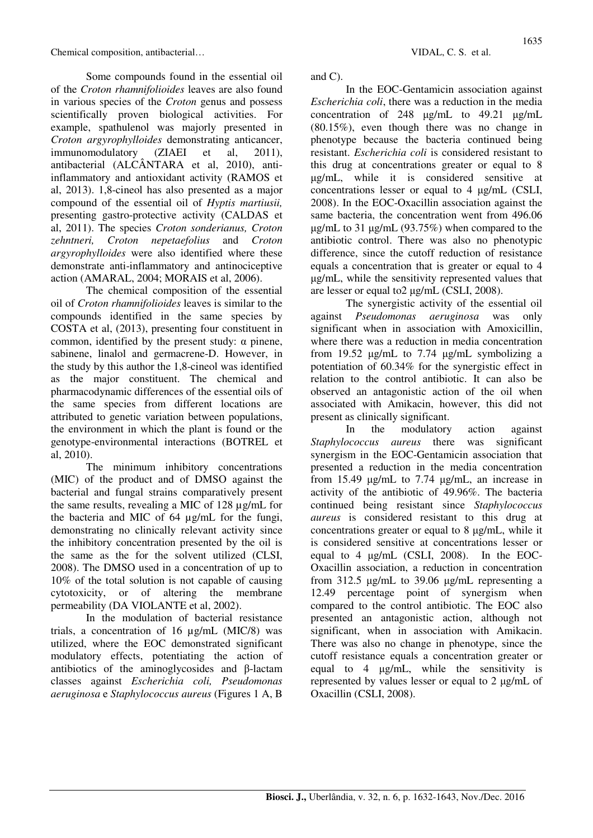Some compounds found in the essential oil of the *Croton rhamnifolioides* leaves are also found in various species of the *Croton* genus and possess scientifically proven biological activities. For example, spathulenol was majorly presented in *Croton argyrophylloides* demonstrating anticancer, immunomodulatory (ZIAEI et al, 2011), antibacterial (ALCÂNTARA et al, 2010), antiinflammatory and antioxidant activity (RAMOS et al, 2013). 1,8-cineol has also presented as a major compound of the essential oil of *Hyptis martiusii,*  presenting gastro-protective activity (CALDAS et al, 2011). The species *Croton sonderianus, Croton zehntneri, Croton nepetaefolius* and *Croton argyrophylloides* were also identified where these demonstrate anti-inflammatory and antinociceptive action (AMARAL, 2004; MORAIS et al, 2006).

The chemical composition of the essential oil of *Croton rhamnifolioides* leaves is similar to the compounds identified in the same species by COSTA et al, (2013), presenting four constituent in common, identified by the present study: α pinene, sabinene, linalol and germacrene-D. However, in the study by this author the 1,8-cineol was identified as the major constituent. The chemical and pharmacodynamic differences of the essential oils of the same species from different locations are attributed to genetic variation between populations, the environment in which the plant is found or the genotype-environmental interactions (BOTREL et al, 2010).

The minimum inhibitory concentrations (MIC) of the product and of DMSO against the bacterial and fungal strains comparatively present the same results, revealing a MIC of 128 µg/mL for the bacteria and MIC of 64 µg/mL for the fungi, demonstrating no clinically relevant activity since the inhibitory concentration presented by the oil is the same as the for the solvent utilized (CLSI, 2008). The DMSO used in a concentration of up to 10% of the total solution is not capable of causing cytotoxicity, or of altering the membrane permeability (DA VIOLANTE et al, 2002).

In the modulation of bacterial resistance trials, a concentration of 16 µg/mL (MIC/8) was utilized, where the EOC demonstrated significant modulatory effects, potentiating the action of antibiotics of the aminoglycosides and β-lactam classes against *Escherichia coli, Pseudomonas aeruginosa* e *Staphylococcus aureus* (Figures 1 A, B and C).

In the EOC-Gentamicin association against *Escherichia coli*, there was a reduction in the media concentration of 248 µg/mL to 49.21 µg/mL (80.15%), even though there was no change in phenotype because the bacteria continued being resistant. *Escherichia coli* is considered resistant to this drug at concentrations greater or equal to 8 µg/mL, while it is considered sensitive at concentrations lesser or equal to 4 µg/mL (CSLI, 2008). In the EOC-Oxacillin association against the same bacteria, the concentration went from 496.06 µg/mL to 31 µg/mL (93.75%) when compared to the antibiotic control. There was also no phenotypic difference, since the cutoff reduction of resistance equals a concentration that is greater or equal to 4 µg/mL, while the sensitivity represented values that are lesser or equal to2 µg/mL (CSLI, 2008).

The synergistic activity of the essential oil against *Pseudomonas aeruginosa* was only significant when in association with Amoxicillin, where there was a reduction in media concentration from 19.52 µg/mL to 7.74 µg/mL symbolizing a potentiation of 60.34% for the synergistic effect in relation to the control antibiotic. It can also be observed an antagonistic action of the oil when associated with Amikacin, however, this did not present as clinically significant.

In the modulatory action against *Staphylococcus aureus* there was significant synergism in the EOC-Gentamicin association that presented a reduction in the media concentration from 15.49 µg/mL to 7.74 µg/mL, an increase in activity of the antibiotic of 49.96%. The bacteria continued being resistant since *Staphylococcus aureus* is considered resistant to this drug at concentrations greater or equal to 8 µg/mL, while it is considered sensitive at concentrations lesser or equal to 4 µg/mL (CSLI, 2008). In the EOC-Oxacillin association, a reduction in concentration from 312.5 µg/mL to 39.06 µg/mL representing a 12.49 percentage point of synergism when compared to the control antibiotic. The EOC also presented an antagonistic action, although not significant, when in association with Amikacin. There was also no change in phenotype, since the cutoff resistance equals a concentration greater or equal to 4 µg/mL, while the sensitivity is represented by values lesser or equal to 2 µg/mL of Oxacillin (CSLI, 2008).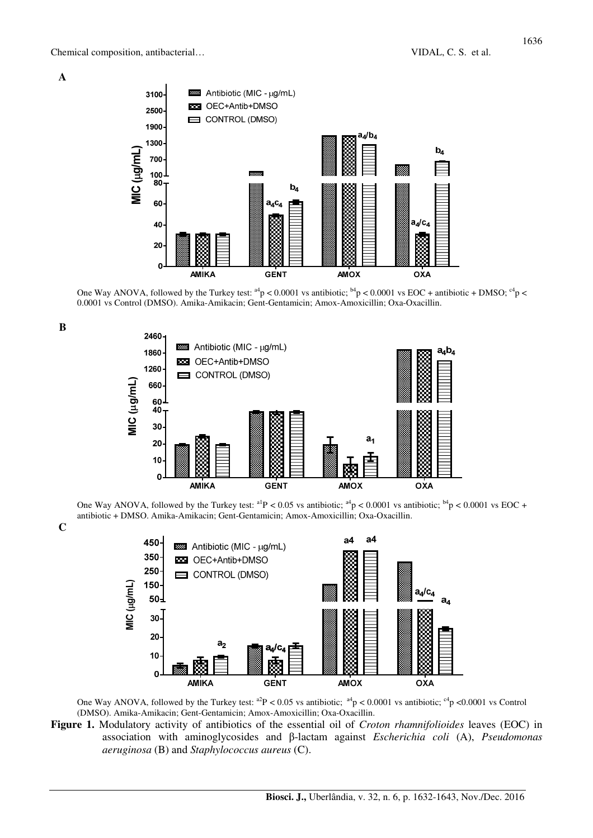**A**

**B**

**C**



One Way ANOVA, followed by the Turkey test:  $a^{4}p < 0.0001$  vs antibiotic;  $b^{4}p < 0.0001$  vs EOC + antibiotic + DMSO;  $c^{4}p <$ 0.0001 vs Control (DMSO). Amika-Amikacin; Gent-Gentamicin; Amox-Amoxicillin; Oxa-Oxacillin.



One Way ANOVA, followed by the Turkey test:  $a^{1}P < 0.05$  vs antibiotic;  $a^{4}P < 0.0001$  vs antibiotic;  $b^{4}P < 0.0001$  vs EOC + antibiotic + DMSO. Amika-Amikacin; Gent-Gentamicin; Amox-Amoxicillin; Oxa-Oxacillin.



One Way ANOVA, followed by the Turkey test:  $a^2P < 0.05$  vs antibiotic;  $a^4P < 0.0001$  vs antibiotic;  $c^4P < 0.0001$  vs Control (DMSO). Amika-Amikacin; Gent-Gentamicin; Amox-Amoxicillin; Oxa-Oxacillin.

**Figure 1.** Modulatory activity of antibiotics of the essential oil of *Croton rhamnifolioides* leaves (EOC) in association with aminoglycosides and β-lactam against *Escherichia coli* (A), *Pseudomonas aeruginosa* (B) and *Staphylococcus aureus* (C).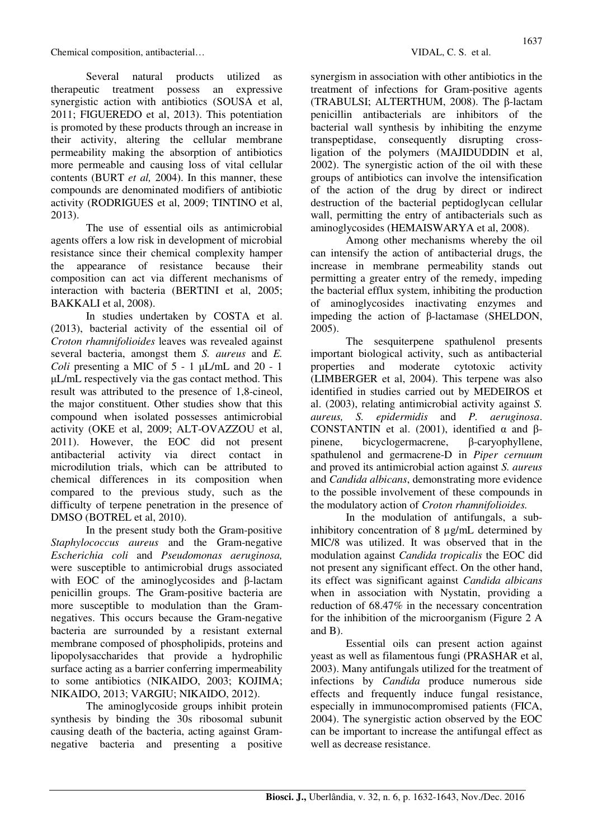Several natural products utilized as therapeutic treatment possess an expressive synergistic action with antibiotics (SOUSA et al, 2011; FIGUEREDO et al, 2013). This potentiation is promoted by these products through an increase in their activity, altering the cellular membrane permeability making the absorption of antibiotics more permeable and causing loss of vital cellular contents (BURT *et al,* 2004). In this manner, these compounds are denominated modifiers of antibiotic activity (RODRIGUES et al, 2009; TINTINO et al, 2013).

The use of essential oils as antimicrobial agents offers a low risk in development of microbial resistance since their chemical complexity hamper the appearance of resistance because their composition can act via different mechanisms of interaction with bacteria (BERTINI et al, 2005; BAKKALI et al, 2008).

In studies undertaken by COSTA et al. (2013), bacterial activity of the essential oil of *Croton rhamnifolioides* leaves was revealed against several bacteria, amongst them *S. aureus* and *E. Coli* presenting a MIC of  $5 - 1$   $\mu L/mL$  and  $20 - 1$ µL/mL respectively via the gas contact method. This result was attributed to the presence of 1,8-cineol, the major constituent. Other studies show that this compound when isolated possesses antimicrobial activity (OKE et al, 2009; ALT-OVAZZOU et al, 2011). However, the EOC did not present antibacterial activity via direct contact in microdilution trials, which can be attributed to chemical differences in its composition when compared to the previous study, such as the difficulty of terpene penetration in the presence of DMSO (BOTREL et al, 2010).

In the present study both the Gram-positive *Staphylococcus aureus* and the Gram-negative *Escherichia coli* and *Pseudomonas aeruginosa,* were susceptible to antimicrobial drugs associated with EOC of the aminoglycosides and β-lactam penicillin groups. The Gram-positive bacteria are more susceptible to modulation than the Gramnegatives. This occurs because the Gram-negative bacteria are surrounded by a resistant external membrane composed of phospholipids, proteins and lipopolysaccharides that provide a hydrophilic surface acting as a barrier conferring impermeability to some antibiotics (NIKAIDO, 2003; KOJIMA; NIKAIDO, 2013; VARGIU; NIKAIDO, 2012).

The aminoglycoside groups inhibit protein synthesis by binding the 30s ribosomal subunit causing death of the bacteria, acting against Gramnegative bacteria and presenting a positive synergism in association with other antibiotics in the treatment of infections for Gram-positive agents (TRABULSI; ALTERTHUM, 2008). The β-lactam penicillin antibacterials are inhibitors of the bacterial wall synthesis by inhibiting the enzyme transpeptidase, consequently disrupting crossligation of the polymers (MAJIDUDDIN et al, 2002). The synergistic action of the oil with these groups of antibiotics can involve the intensification of the action of the drug by direct or indirect destruction of the bacterial peptidoglycan cellular wall, permitting the entry of antibacterials such as aminoglycosides (HEMAISWARYA et al, 2008).

Among other mechanisms whereby the oil can intensify the action of antibacterial drugs, the increase in membrane permeability stands out permitting a greater entry of the remedy, impeding the bacterial efflux system, inhibiting the production of aminoglycosides inactivating enzymes and impeding the action of β-lactamase (SHELDON, 2005).

The sesquiterpene spathulenol presents important biological activity, such as antibacterial properties and moderate cytotoxic activity (LIMBERGER et al, 2004). This terpene was also identified in studies carried out by MEDEIROS et al. (2003), relating antimicrobial activity against *S. aureus, S. epidermidis* and *P. aeruginosa*. CONSTANTIN et al. (2001), identified  $\alpha$  and  $\beta$ pinene, bicyclogermacrene, β-caryophyllene, spathulenol and germacrene-D in *Piper cernuum*  and proved its antimicrobial action against *S. aureus* and *Candida albicans*, demonstrating more evidence to the possible involvement of these compounds in the modulatory action of *Croton rhamnifolioides.* 

In the modulation of antifungals, a subinhibitory concentration of 8 µg/mL determined by MIC/8 was utilized. It was observed that in the modulation against *Candida tropicalis* the EOC did not present any significant effect. On the other hand, its effect was significant against *Candida albicans*  when in association with Nystatin, providing a reduction of 68.47% in the necessary concentration for the inhibition of the microorganism (Figure 2 A and B).

Essential oils can present action against yeast as well as filamentous fungi (PRASHAR et al, 2003). Many antifungals utilized for the treatment of infections by *Candida* produce numerous side effects and frequently induce fungal resistance, especially in immunocompromised patients (FICA, 2004). The synergistic action observed by the EOC can be important to increase the antifungal effect as well as decrease resistance.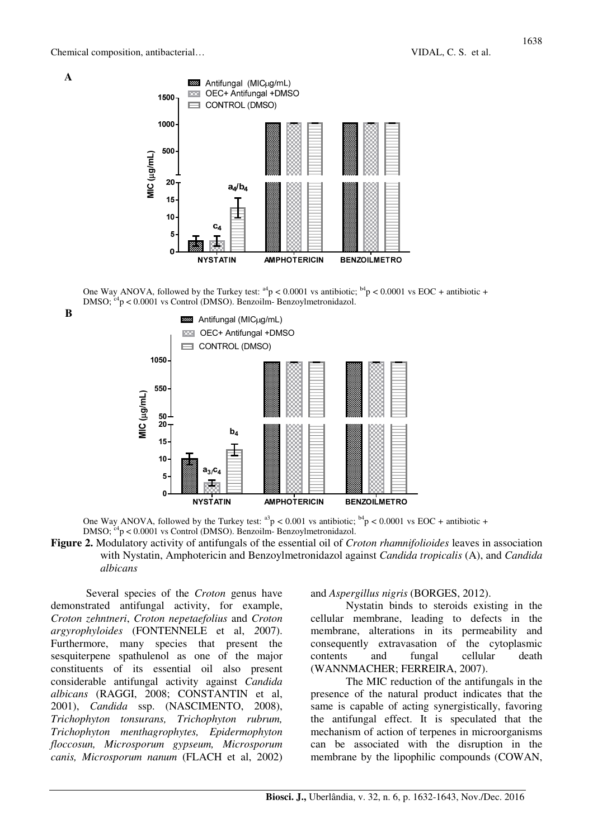

One Way ANOVA, followed by the Turkey test:  $a^4p < 0.0001$  vs antibiotic;  $b^4p < 0.0001$  vs EOC + antibiotic + DMSO:  $c^4$ p < 0.0001 vs Control (DMSO). Benzoilm- Benzovlmetronidazol.



**A**



One Way ANOVA, followed by the Turkey test:  $a^3p < 0.001$  vs antibiotic;  $b^4p < 0.0001$  vs EOC + antibiotic + DMSO;  $c^4$ p < 0.0001 vs Control (DMSO). Benzoilm- Benzoylmetronidazol.

**Figure 2.** Modulatory activity of antifungals of the essential oil of *Croton rhamnifolioides* leaves in association with Nystatin, Amphotericin and Benzoylmetronidazol against *Candida tropicalis* (A), and *Candida albicans* 

Several species of the *Croton* genus have demonstrated antifungal activity, for example, *Croton zehntneri*, *Croton nepetaefolius* and *Croton argyrophyloides* (FONTENNELE et al, *2*007). Furthermore, many species that present the sesquiterpene spathulenol as one of the major constituents of its essential oil also present considerable antifungal activity against *Candida albicans* (RAGGI, 2008; CONSTANTIN et al, 2001), *Candida* ssp. (NASCIMENTO, 2008), *Trichophyton tonsurans, Trichophyton rubrum, Trichophyton menthagrophytes, Epidermophyton floccosun, Microsporum gypseum, Microsporum canis, Microsporum nanum* (FLACH et al, 2002)

#### and *Aspergillus nigris* (BORGES, 2012).

Nystatin binds to steroids existing in the cellular membrane, leading to defects in the membrane, alterations in its permeability and consequently extravasation of the cytoplasmic contents and fungal cellular death (WANNMACHER; FERREIRA, 2007).

The MIC reduction of the antifungals in the presence of the natural product indicates that the same is capable of acting synergistically, favoring the antifungal effect. It is speculated that the mechanism of action of terpenes in microorganisms can be associated with the disruption in the membrane by the lipophilic compounds (COWAN,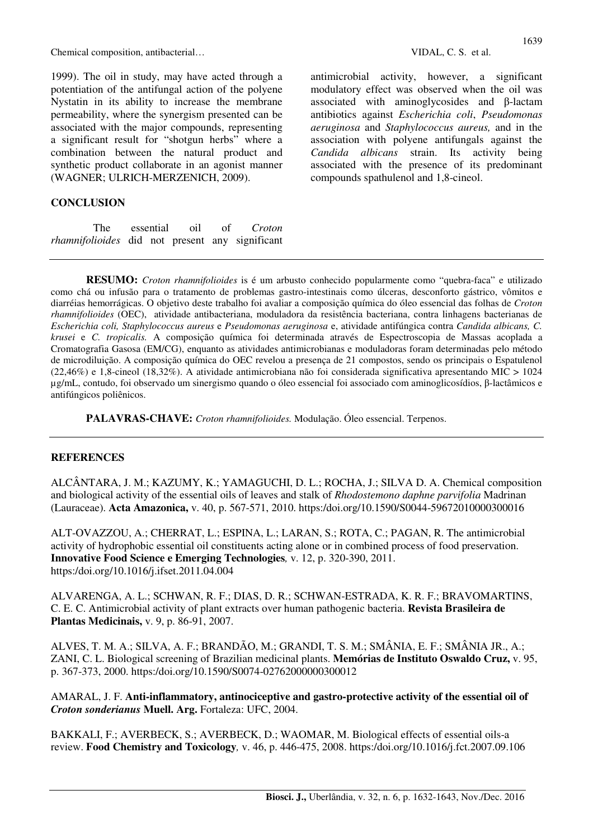1999). The oil in study, may have acted through a potentiation of the antifungal action of the polyene Nystatin in its ability to increase the membrane permeability, where the synergism presented can be associated with the major compounds, representing a significant result for "shotgun herbs" where a combination between the natural product and synthetic product collaborate in an agonist manner (WAGNER; ULRICH-MERZENICH, 2009).

# **CONCLUSION**

The essential oil of *Croton rhamnifolioides* did not present any significant antimicrobial activity, however, a significant modulatory effect was observed when the oil was associated with aminoglycosides and β-lactam antibiotics against *Escherichia coli*, *Pseudomonas aeruginosa* and *Staphylococcus aureus,* and in the association with polyene antifungals against the *Candida albicans* strain. Its activity being associated with the presence of its predominant compounds spathulenol and 1,8-cineol.

**RESUMO:** *Croton rhamnifolioides* is é um arbusto conhecido popularmente como "quebra-faca" e utilizado como chá ou infusão para o tratamento de problemas gastro-intestinais como úlceras, desconforto gástrico, vômitos e diarréias hemorrágicas. O objetivo deste trabalho foi avaliar a composição química do óleo essencial das folhas de *Croton rhamnifolioides* (OEC), atividade antibacteriana, moduladora da resistência bacteriana, contra linhagens bacterianas de *Escherichia coli, Staphylococcus aureus* e *Pseudomonas aeruginosa* e, atividade antifúngica contra *Candida albicans, C. krusei* e *C. tropicalis.* A composição química foi determinada através de Espectroscopia de Massas acoplada a Cromatografia Gasosa (EM/CG), enquanto as atividades antimicrobianas e moduladoras foram determinadas pelo método de microdiluição. A composição química do OEC revelou a presença de 21 compostos, sendo os principais o Espatulenol (22,46%) e 1,8-cineol (18,32%). A atividade antimicrobiana não foi considerada significativa apresentando MIC > 1024 µg/mL, contudo, foi observado um sinergismo quando o óleo essencial foi associado com aminoglicosídios, β-lactâmicos e antifúngicos poliênicos.

**PALAVRAS-CHAVE:** *Croton rhamnifolioides.* Modulação. Óleo essencial. Terpenos.

## **REFERENCES**

ALCÂNTARA, J. M.; KAZUMY, K.; YAMAGUCHI, D. L.; ROCHA, J.; SILVA D. A. Chemical composition and biological activity of the essential oils of leaves and stalk of *Rhodostemono daphne parvifolia* Madrinan (Lauraceae). **Acta Amazonica,** v. 40, p. 567-571, 2010. https:/doi.org/10.1590/S0044-59672010000300016

ALT-OVAZZOU, A.; CHERRAT, L.; ESPINA, L.; LARAN, S.; ROTA, C.; PAGAN, R. The antimicrobial activity of hydrophobic essential oil constituents acting alone or in combined process of food preservation. **Innovative Food Science e Emerging Technologies***,* v. 12, p. 320-390, 2011. https:/doi.org/10.1016/j.ifset.2011.04.004

ALVARENGA, A. L.; SCHWAN, R. F.; DIAS, D. R.; SCHWAN-ESTRADA, K. R. F.; BRAVOMARTINS, C. E. C. Antimicrobial activity of plant extracts over human pathogenic bacteria. **Revista Brasileira de Plantas Medicinais,** v. 9, p. 86-91, 2007.

ALVES, T. M. A.; SILVA, A. F.; BRANDÃO, M.; GRANDI, T. S. M.; SMÂNIA, E. F.; SMÂNIA JR., A.; ZANI, C. L. Biological screening of Brazilian medicinal plants. **Memórias de Instituto Oswaldo Cruz,** v. 95, p. 367-373, 2000. https:/doi.org/10.1590/S0074-02762000000300012

AMARAL, J. F. **Anti-inflammatory, antinociceptive and gastro-protective activity of the essential oil of**  *Croton sonderianus* **Muell. Arg.** Fortaleza: UFC, 2004.

BAKKALI, F.; AVERBECK, S.; AVERBECK, D.; WAOMAR, M. Biological effects of essential oils-a review. **Food Chemistry and Toxicology***,* v. 46, p. 446-475, 2008. https:/doi.org/10.1016/j.fct.2007.09.106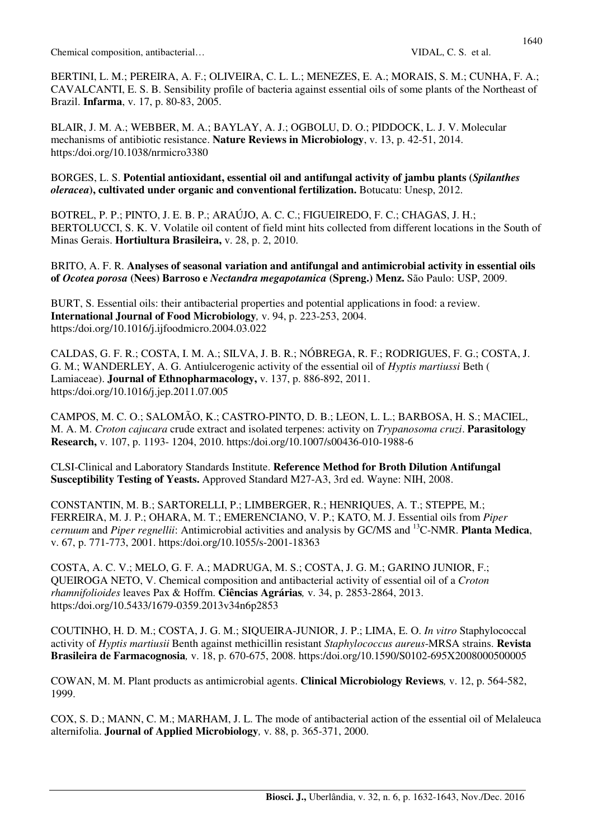BERTINI, L. M.; PEREIRA, A. F.; OLIVEIRA, C. L. L.; MENEZES, E. A.; MORAIS, S. M.; CUNHA, F. A.; CAVALCANTI, E. S. B. Sensibility profile of bacteria against essential oils of some plants of the Northeast of Brazil. **Infarma**, v. 17, p. 80-83, 2005.

BLAIR, J. M. A.; WEBBER, M. A.; BAYLAY, A. J.; OGBOLU, D. O.; PIDDOCK, L. J. V. Molecular mechanisms of antibiotic resistance. **Nature Reviews in Microbiology**, v. 13, p. 42-51, 2014. https:/doi.org/10.1038/nrmicro3380

# BORGES, L. S. **Potential antioxidant, essential oil and antifungal activity of jambu plants (***Spilanthes oleracea***), cultivated under organic and conventional fertilization.** Botucatu: Unesp, 2012.

BOTREL, P. P.; PINTO, J. E. B. P.; ARAÚJO, A. C. C.; FIGUEIREDO, F. C.; CHAGAS, J. H.; BERTOLUCCI, S. K. V. Volatile oil content of field mint hits collected from different locations in the South of Minas Gerais. **Hortiultura Brasileira,** v. 28, p. 2, 2010.

BRITO, A. F. R. **Analyses of seasonal variation and antifungal and antimicrobial activity in essential oils of** *Ocotea porosa* **(Nees) Barroso e** *Nectandra megapotamica* **(Spreng.) Menz.** São Paulo: USP, 2009.

BURT, S. Essential oils: their antibacterial properties and potential applications in food: a review. **International Journal of Food Microbiology***,* v. 94, p. 223-253, 2004. https:/doi.org/10.1016/j.ijfoodmicro.2004.03.022

CALDAS, G. F. R.; COSTA, I. M. A.; SILVA, J. B. R.; NÓBREGA, R. F.; RODRIGUES, F. G.; COSTA, J. G. M.; WANDERLEY, A. G. Antiulcerogenic activity of the essential oil of *Hyptis martiussi* Beth ( Lamiaceae). **Journal of Ethnopharmacology,** v. 137, p. 886-892, 2011. https:/doi.org/10.1016/j.jep.2011.07.005

CAMPOS, M. C. O.; SALOMÃO, K.; CASTRO-PINTO, D. B.; LEON, L. L.; BARBOSA, H. S.; MACIEL, M. A. M. *Croton cajucara* crude extract and isolated terpenes: activity on *Trypanosoma cruzi*. **Parasitology Research,** v. 107, p. 1193- 1204, 2010. https:/doi.org/10.1007/s00436-010-1988-6

CLSI-Clinical and Laboratory Standards Institute. **Reference Method for Broth Dilution Antifungal Susceptibility Testing of Yeasts.** Approved Standard M27-A3, 3rd ed. Wayne: NIH, 2008.

CONSTANTIN, M. B.; SARTORELLI, P.; LIMBERGER, R.; HENRIQUES, A. T.; STEPPE, M.; FERREIRA, M. J. P.; OHARA, M. T.; EMERENCIANO, V. P.; KATO, M. J. Essential oils from *Piper cernuum* and *Piper regnellii*: Antimicrobial activities and analysis by GC/MS and <sup>13</sup>C-NMR. **Planta Medica**, v. 67, p. 771-773, 2001. https:/doi.org/10.1055/s-2001-18363

COSTA, A. C. V.; MELO, G. F. A.; MADRUGA, M. S.; COSTA, J. G. M.; GARINO JUNIOR, F.; QUEIROGA NETO, V. Chemical composition and antibacterial activity of essential oil of a *Croton rhamnifolioides* leaves Pax & Hoffm. **Ciências Agrárias***,* v. 34, p. 2853-2864, 2013. https:/doi.org/10.5433/1679-0359.2013v34n6p2853

COUTINHO, H. D. M.; COSTA, J. G. M.; SIQUEIRA-JUNIOR, J. P.; LIMA, E. O. *In vitro* Staphylococcal activity of *Hyptis martiusii* Benth against methicillin resistant *Staphylococcus aureus*-MRSA strains. **Revista Brasileira de Farmacognosia***,* v. 18, p. 670-675, 2008. https:/doi.org/10.1590/S0102-695X2008000500005

COWAN, M. M. Plant products as antimicrobial agents. **Clinical Microbiology Reviews***,* v. 12, p. 564-582, 1999.

COX, S. D.; MANN, C. M.; MARHAM, J. L. The mode of antibacterial action of the essential oil of Melaleuca alternifolia. **Journal of Applied Microbiology***,* v. 88, p. 365-371, 2000.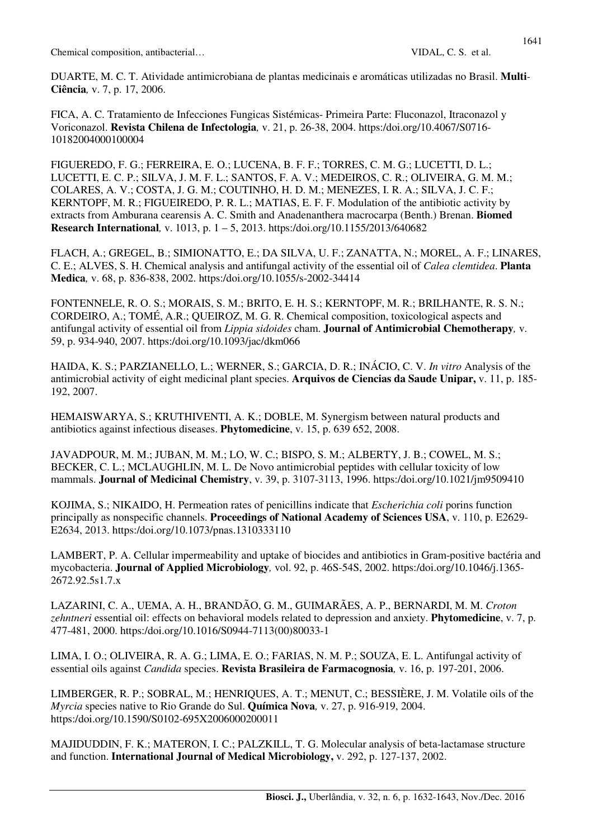DUARTE, M. C. T. Atividade antimicrobiana de plantas medicinais e aromáticas utilizadas no Brasil. **Multi***-***Ciência***,* v. 7, p. 17, 2006.

FICA, A. C. Tratamiento de Infecciones Fungicas Sistémicas- Primeira Parte: Fluconazol, Itraconazol y Voriconazol. **Revista Chilena de Infectologia***,* v. 21, p. 26-38, 2004. https:/doi.org/10.4067/S0716- 10182004000100004

FIGUEREDO, F. G.; FERREIRA, E. O.; LUCENA, B. F. F.; TORRES, C. M. G.; LUCETTI, D. L.; LUCETTI, E. C. P.; SILVA, J. M. F. L.; SANTOS, F. A. V.; MEDEIROS, C. R.; OLIVEIRA, G. M. M.; COLARES, A. V.; COSTA, J. G. M.; COUTINHO, H. D. M.; MENEZES, I. R. A.; SILVA, J. C. F.; KERNTOPF, M. R.; FIGUEIREDO, P. R. L.; MATIAS, E. F. F. Modulation of the antibiotic activity by extracts from Amburana cearensis A. C. Smith and Anadenanthera macrocarpa (Benth.) Brenan. **Biomed Research International***,* v. 1013, p. 1 – 5, 2013. https:/doi.org/10.1155/2013/640682

FLACH, A.; GREGEL, B.; SIMIONATTO, E.; DA SILVA, U. F.; ZANATTA, N.; MOREL, A. F.; LINARES, C. E.; ALVES, S. H. Chemical analysis and antifungal activity of the essential oil of *Calea clemtidea*. **Planta Medica***,* v. 68, p. 836-838, 2002. https:/doi.org/10.1055/s-2002-34414

FONTENNELE, R. O. S.; MORAIS, S. M.; BRITO, E. H. S.; KERNTOPF, M. R.; BRILHANTE, R. S. N.; CORDEIRO, A.; TOMÉ, A.R.; QUEIROZ, M. G. R. Chemical composition, toxicological aspects and antifungal activity of essential oil from *Lippia sidoides* cham. **Journal of Antimicrobial Chemotherapy***,* v. 59, p. 934-940, 2007. https:/doi.org/10.1093/jac/dkm066

HAIDA, K. S.; PARZIANELLO, L.; WERNER, S.; GARCIA, D. R.; INÁCIO, C. V. *In vitro* Analysis of the antimicrobial activity of eight medicinal plant species. **Arquivos de Ciencias da Saude Unipar,** v. 11, p. 185- 192, 2007.

HEMAISWARYA, S.; KRUTHIVENTI, A. K.; DOBLE, M. Synergism between natural products and antibiotics against infectious diseases. **Phytomedicine**, v. 15, p. 639 652, 2008.

JAVADPOUR, M. M.; JUBAN, M. M.; LO, W. C.; BISPO, S. M.; ALBERTY, J. B.; COWEL, M. S.; BECKER, C. L.; MCLAUGHLIN, M. L. De Novo antimicrobial peptides with cellular toxicity of low mammals. **Journal of Medicinal Chemistry**, v. 39, p. 3107-3113, 1996. https:/doi.org/10.1021/jm9509410

KOJIMA, S.; NIKAIDO, H. Permeation rates of penicillins indicate that *Escherichia coli* porins function principally as nonspecific channels. **Proceedings of National Academy of Sciences USA**, v. 110, p. E2629- E2634, 2013. https:/doi.org/10.1073/pnas.1310333110

LAMBERT, P. A. Cellular impermeability and uptake of biocides and antibiotics in Gram-positive bactéria and mycobacteria. **Journal of Applied Microbiology***,* vol. 92, p. 46S-54S, 2002. https:/doi.org/10.1046/j.1365- 2672.92.5s1.7.x

LAZARINI, C. A., UEMA, A. H., BRANDÃO, G. M., GUIMARÃES, A. P., BERNARDI, M. M. *Croton zehntneri* essential oil: effects on behavioral models related to depression and anxiety. **Phytomedicine**, v. 7, p. 477-481, 2000. https:/doi.org/10.1016/S0944-7113(00)80033-1

LIMA, I. O.; OLIVEIRA, R. A. G.; LIMA, E. O.; FARIAS, N. M. P.; SOUZA, E. L. Antifungal activity of essential oils against *Candida* species. **Revista Brasileira de Farmacognosia***,* v. 16, p. 197-201, 2006.

LIMBERGER, R. P.; SOBRAL, M.; HENRIQUES, A. T.; MENUT, C.; BESSIÈRE, J. M. Volatile oils of the *Myrcia* species native to Rio Grande do Sul. **Química Nova***,* v. 27, p. 916-919, 2004. https:/doi.org/10.1590/S0102-695X2006000200011

MAJIDUDDIN, F. K.; MATERON, I. C.; PALZKILL, T. G. Molecular analysis of beta-lactamase structure and function. **International Journal of Medical Microbiology,** v. 292, p. 127-137, 2002.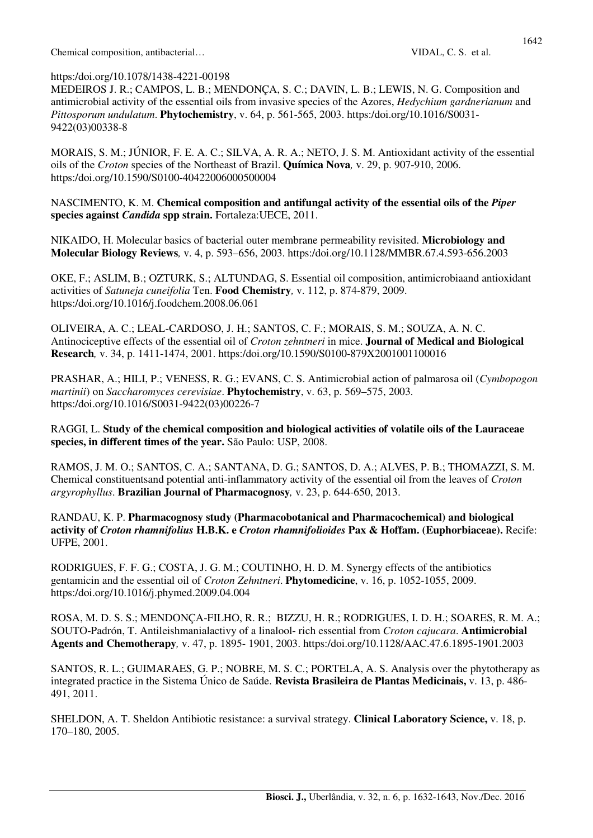# https:/doi.org/10.1078/1438-4221-00198

MEDEIROS J. R.; CAMPOS, L. B.; MENDONÇA, S. C.; DAVIN, L. B.; LEWIS, N. G. Composition and antimicrobial activity of the essential oils from invasive species of the Azores, *Hedychium gardnerianum* and *Pittosporum undulatum*. **Phytochemistry**, v. 64, p. 561-565, 2003. https:/doi.org/10.1016/S0031- 9422(03)00338-8

MORAIS, S. M.; JÚNIOR, F. E. A. C.; SILVA, A. R. A.; NETO, J. S. M. Antioxidant activity of the essential oils of the *Croton* species of the Northeast of Brazil. **Química Nova***,* v. 29, p. 907-910, 2006. https:/doi.org/10.1590/S0100-40422006000500004

NASCIMENTO, K. M. **Chemical composition and antifungal activity of the essential oils of the** *Piper*  **species against** *Candida* **spp strain.** Fortaleza:UECE, 2011.

NIKAIDO, H. Molecular basics of bacterial outer membrane permeability revisited. **Microbiology and Molecular Biology Reviews***,* v. 4, p. 593–656, 2003. https:/doi.org/10.1128/MMBR.67.4.593-656.2003

OKE, F.; ASLIM, B.; OZTURK, S.; ALTUNDAG, S. Essential oil composition, antimicrobiaand antioxidant activities of *Satuneja cuneifolia* Ten. **Food Chemistry***,* v. 112, p. 874-879, 2009. https:/doi.org/10.1016/j.foodchem.2008.06.061

OLIVEIRA, A. C.; LEAL-CARDOSO, J. H.; SANTOS, C. F.; MORAIS, S. M.; SOUZA, A. N. C. Antinociceptive effects of the essential oil of *Croton zehntneri* in mice. **Journal of Medical and Biological Research***,* v. 34, p. 1411-1474, 2001. https:/doi.org/10.1590/S0100-879X2001001100016

PRASHAR, A.; HILI, P.; VENESS, R. G.; EVANS, C. S. Antimicrobial action of palmarosa oil (*Cymbopogon martinii*) on *Saccharomyces cerevisiae*. **Phytochemistry**, v. 63, p. 569–575, 2003. https:/doi.org/10.1016/S0031-9422(03)00226-7

RAGGI, L. **Study of the chemical composition and biological activities of volatile oils of the Lauraceae species, in different times of the year.** São Paulo: USP, 2008.

RAMOS, J. M. O.; SANTOS, C. A.; SANTANA, D. G.; SANTOS, D. A.; ALVES, P. B.; THOMAZZI, S. M. Chemical constituentsand potential anti-inflammatory activity of the essential oil from the leaves of *Croton argyrophyllus*. **Brazilian Journal of Pharmacognosy***,* v. 23, p. 644-650, 2013.

RANDAU, K. P. **Pharmacognosy study (Pharmacobotanical and Pharmacochemical) and biological activity of** *Croton rhamnifolius* **H.B.K. e** *Croton rhamnifolioides* **Pax & Hoffam. (Euphorbiaceae).** Recife: UFPE, 2001.

RODRIGUES, F. F. G.; COSTA, J. G. M.; COUTINHO, H. D. M. Synergy effects of the antibiotics gentamicin and the essential oil of *Croton Zehntneri*. **Phytomedicine**, v. 16, p. 1052-1055, 2009. https:/doi.org/10.1016/j.phymed.2009.04.004

ROSA, M. D. S. S.; MENDONÇA-FILHO, R. R.; BIZZU, H. R.; RODRIGUES, I. D. H.; SOARES, R. M. A.; SOUTO-Padrón, T. Antileishmanialactivy of a linalool- rich essential from *Croton cajucara*. **Antimicrobial Agents and Chemotherapy***,* v. 47, p. 1895- 1901, 2003. https:/doi.org/10.1128/AAC.47.6.1895-1901.2003

SANTOS, R. L.; GUIMARAES, G. P.; NOBRE, M. S. C.; PORTELA, A. S. Analysis over the phytotherapy as integrated practice in the Sistema Único de Saúde. **Revista Brasileira de Plantas Medicinais,** v. 13, p. 486- 491, 2011.

SHELDON, A. T. Sheldon Antibiotic resistance: a survival strategy. **Clinical Laboratory Science,** v. 18, p. 170–180, 2005.